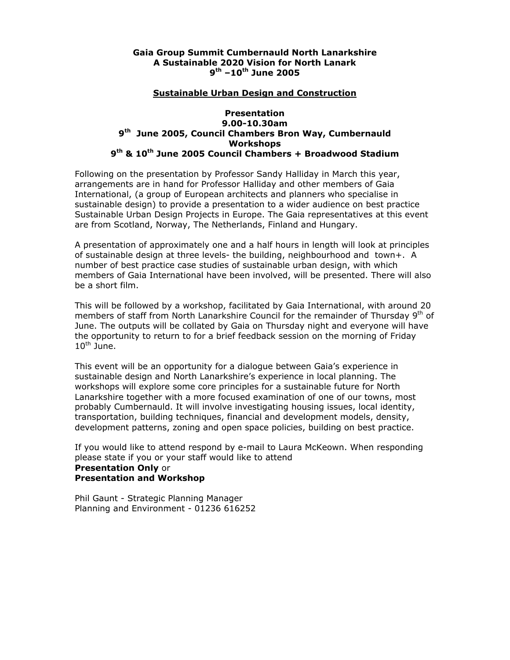#### **Gaia Group Summit Cumbernauld North Lanarkshire A Sustainable 2020 Vision for North Lanark 9th –10th June 2005**

#### **Sustainable Urban Design and Construction**

### **Presentation 9.00-10.30am 9th June 2005, Council Chambers Bron Way, Cumbernauld Workshops 9th & 10th June 2005 Council Chambers + Broadwood Stadium**

Following on the presentation by Professor Sandy Halliday in March this year, arrangements are in hand for Professor Halliday and other members of Gaia International, (a group of European architects and planners who specialise in sustainable design) to provide a presentation to a wider audience on best practice Sustainable Urban Design Projects in Europe. The Gaia representatives at this event are from Scotland, Norway, The Netherlands, Finland and Hungary.

A presentation of approximately one and a half hours in length will look at principles of sustainable design at three levels- the building, neighbourhood and town+. A number of best practice case studies of sustainable urban design, with which members of Gaia International have been involved, will be presented. There will also be a short film.

This will be followed by a workshop, facilitated by Gaia International, with around 20 members of staff from North Lanarkshire Council for the remainder of Thursday  $9<sup>th</sup>$  of June. The outputs will be collated by Gaia on Thursday night and everyone will have the opportunity to return to for a brief feedback session on the morning of Friday  $10^{\text{th}}$  June.

This event will be an opportunity for a dialogue between Gaia's experience in sustainable design and North Lanarkshire's experience in local planning. The workshops will explore some core principles for a sustainable future for North Lanarkshire together with a more focused examination of one of our towns, most probably Cumbernauld. It will involve investigating housing issues, local identity, transportation, building techniques, financial and development models, density, development patterns, zoning and open space policies, building on best practice.

If you would like to attend respond by e-mail to Laura McKeown. When responding please state if you or your staff would like to attend **Presentation Only** or **Presentation and Workshop**

Phil Gaunt - Strategic Planning Manager Planning and Environment - 01236 616252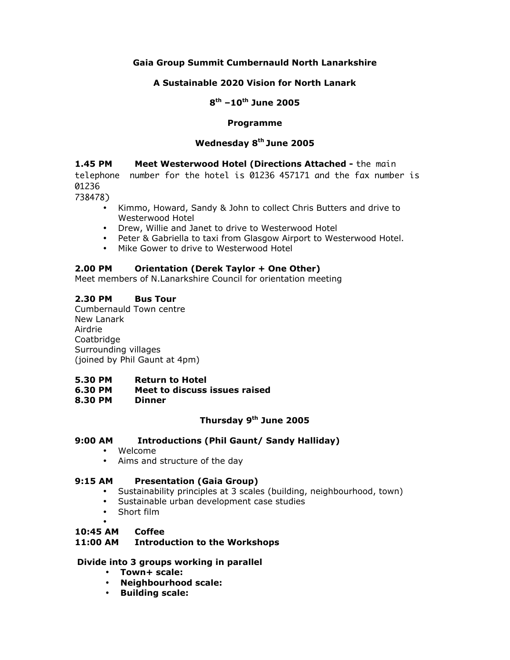## **Gaia Group Summit Cumbernauld North Lanarkshire**

## **A Sustainable 2020 Vision for North Lanark**

## **8th –10th June 2005**

## **Programme**

## **Wednesday 8th June 2005**

**1.45 PM Meet Westerwood Hotel (Directions Attached -** the main telephone number for the hotel is 01236 457171 and the fax number is

01236

738478)

- Kimmo, Howard, Sandy & John to collect Chris Butters and drive to Westerwood Hotel
- Drew, Willie and Janet to drive to Westerwood Hotel
- Peter & Gabriella to taxi from Glasgow Airport to Westerwood Hotel.
- Mike Gower to drive to Westerwood Hotel

## **2.00 PM Orientation (Derek Taylor + One Other)**

Meet members of N.Lanarkshire Council for orientation meeting

## **2.30 PM Bus Tour**

Cumbernauld Town centre New Lanark Airdrie Coatbridge Surrounding villages (joined by Phil Gaunt at 4pm)

- **5.30 PM Return to Hotel**
- **6.30 PM Meet to discuss issues raised**
- **8.30 PM Dinner**

## **Thursday 9th June 2005**

## **9:00 AM Introductions (Phil Gaunt/ Sandy Halliday)**

- Welcome
- Aims and structure of the day

#### **9:15 AM Presentation (Gaia Group)**

- Sustainability principles at 3 scales (building, neighbourhood, town)
- Sustainable urban development case studies
- Short film

#### • **10:45 AM Coffee**

#### **11:00 AM Introduction to the Workshops**

#### **Divide into 3 groups working in parallel**

- **Town+ scale:**
- **Neighbourhood scale:**
- **Building scale:**